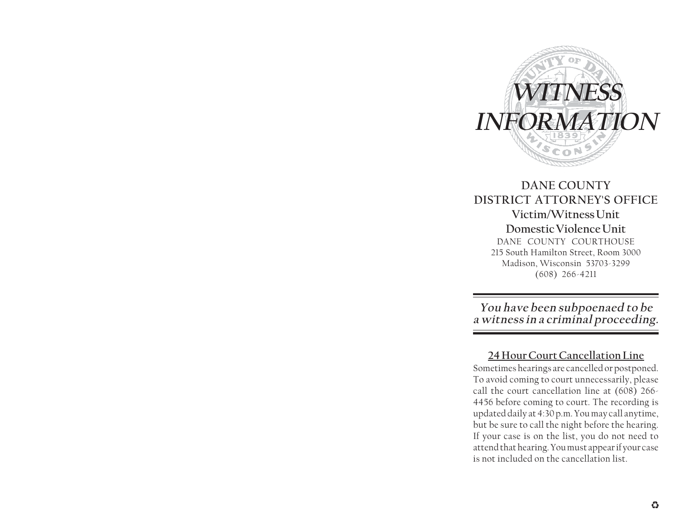

### **DANE COUNTY DISTRICT ATTORNEY'S OFFICE Victim/Witness Unit Domestic Violence Unit** DANE COUNTY COURTHOUSE

215 South Hamilton Street, Room 3000 Madison, Wisconsin 53703-3299 (608) 266-4211

**You have been subpoenaed to be a witness in a criminal proceeding.**

**24 Hour Court Cancellation Line** Sometimes hearings are cancelled or postponed. To avoid coming to court unnecessarily, please call the court cancellation line at (608) 266- 4456 before coming to court. The recording is updated daily at 4:30 p.m. You may call anytime, but be sure to call the night before the hearing. If your case is on the list, you do not need to attend that hearing. You must appear if your case is not included on the cancellation list.